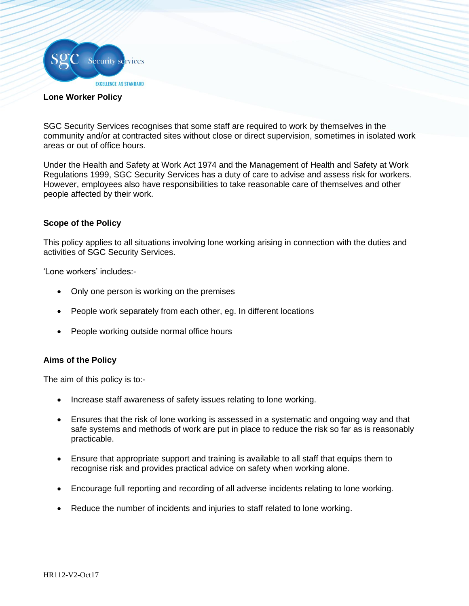

## **Lone Worker Policy**

SGC Security Services recognises that some staff are required to work by themselves in the community and/or at contracted sites without close or direct supervision, sometimes in isolated work areas or out of office hours.

Under the Health and Safety at Work Act 1974 and the Management of Health and Safety at Work Regulations 1999, SGC Security Services has a duty of care to advise and assess risk for workers. However, employees also have responsibilities to take reasonable care of themselves and other people affected by their work.

## **Scope of the Policy**

This policy applies to all situations involving lone working arising in connection with the duties and activities of SGC Security Services.

'Lone workers' includes:-

- Only one person is working on the premises
- People work separately from each other, eg. In different locations
- People working outside normal office hours

## **Aims of the Policy**

The aim of this policy is to:-

- Increase staff awareness of safety issues relating to lone working.
- Ensures that the risk of lone working is assessed in a systematic and ongoing way and that safe systems and methods of work are put in place to reduce the risk so far as is reasonably practicable.
- Ensure that appropriate support and training is available to all staff that equips them to recognise risk and provides practical advice on safety when working alone.
- Encourage full reporting and recording of all adverse incidents relating to lone working.
- Reduce the number of incidents and injuries to staff related to lone working.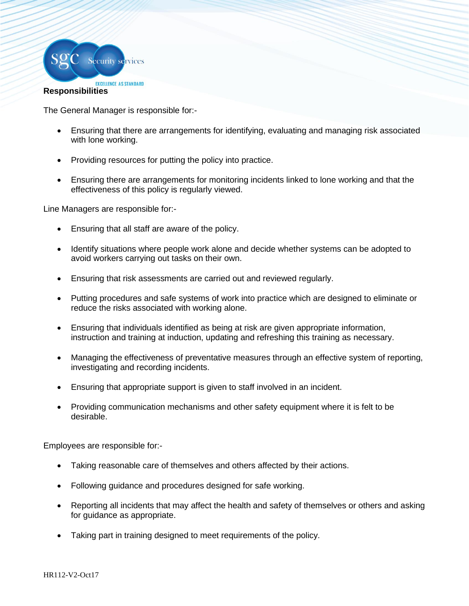

The General Manager is responsible for:-

- Ensuring that there are arrangements for identifying, evaluating and managing risk associated with lone working.
- Providing resources for putting the policy into practice.
- Ensuring there are arrangements for monitoring incidents linked to lone working and that the effectiveness of this policy is regularly viewed.

Line Managers are responsible for:-

- Ensuring that all staff are aware of the policy.
- Identify situations where people work alone and decide whether systems can be adopted to avoid workers carrying out tasks on their own.
- Ensuring that risk assessments are carried out and reviewed regularly.
- Putting procedures and safe systems of work into practice which are designed to eliminate or reduce the risks associated with working alone.
- Ensuring that individuals identified as being at risk are given appropriate information, instruction and training at induction, updating and refreshing this training as necessary.
- Managing the effectiveness of preventative measures through an effective system of reporting, investigating and recording incidents.
- Ensuring that appropriate support is given to staff involved in an incident.
- Providing communication mechanisms and other safety equipment where it is felt to be desirable.

Employees are responsible for:-

- Taking reasonable care of themselves and others affected by their actions.
- Following guidance and procedures designed for safe working.
- Reporting all incidents that may affect the health and safety of themselves or others and asking for guidance as appropriate.
- Taking part in training designed to meet requirements of the policy.